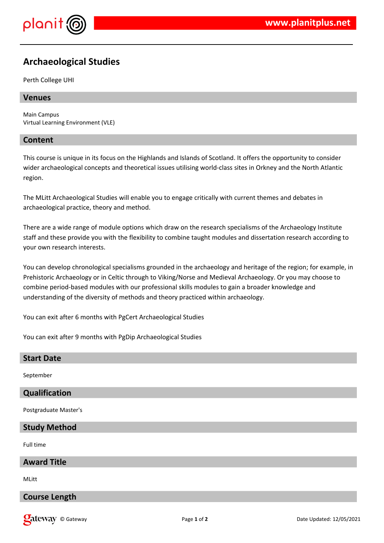

# **Archaeological Studies**

Perth College UHI

# **Venues**

Main Campus Virtual Learning Environment (VLE)

# **Content**

This course is unique in its focus on the Highlands and Islands of Scotland. It offers the opportunity to consider wider archaeological concepts and theoretical issues utilising world-class sites in Orkney and the North Atlantic region.

The MLitt Archaeological Studies will enable you to engage critically with current themes and debates in archaeological practice, theory and method.

There are a wide range of module options which draw on the research specialisms of the Archaeology Institute staff and these provide you with the flexibility to combine taught modules and dissertation research according to your own research interests.

You can develop chronological specialisms grounded in the archaeology and heritage of the region; for example, in Prehistoric Archaeology or in Celtic through to Viking/Norse and Medieval Archaeology. Or you may choose to combine period-based modules with our professional skills modules to gain a broader knowledge and understanding of the diversity of methods and theory practiced within archaeology.

You can exit after 6 months with PgCert Archaeological Studies

You can exit after 9 months with PgDip Archaeological Studies

# **Start Date**

September

# **Qualification**

Postgraduate Master's

# **Study Method**

Full time

# **Award Title**

MLitt

# **Course Length**

© Gateway Page **1** of **2** Date Updated: 12/05/2021